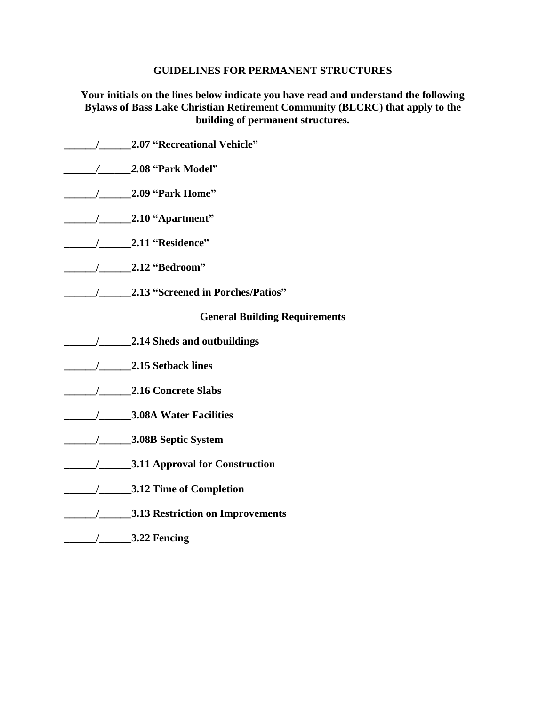#### **GUIDELINES FOR PERMANENT STRUCTURES**

**Your initials on the lines below indicate you have read and understand the following Bylaws of Bass Lake Christian Retirement Community (BLCRC) that apply to the building of permanent structures.**

**\_\_\_\_\_\_/\_\_\_\_\_\_2.07 "Recreational Vehicle"** *\_\_\_\_\_\_/\_\_\_\_\_\_2.***08 "Park Model" \_\_\_\_\_\_/\_\_\_\_\_\_2.09 "Park Home" \_\_\_\_\_\_/\_\_\_\_\_\_2.10 "Apartment" \_\_\_\_\_\_/\_\_\_\_\_\_2.11 "Residence" \_\_\_\_\_\_/\_\_\_\_\_\_2.12 "Bedroom" \_\_\_\_\_\_/\_\_\_\_\_\_2.13 "Screened in Porches/Patios" General Building Requirements \_\_\_\_\_\_/\_\_\_\_\_\_2.14 Sheds and outbuildings \_\_\_\_\_\_/\_\_\_\_\_\_2.15 Setback lines \_\_\_\_\_\_/\_\_\_\_\_\_2.16 Concrete Slabs \_\_\_\_\_\_/\_\_\_\_\_\_3.08A Water Facilities \_\_\_\_\_\_/\_\_\_\_\_\_3.08B Septic System \_\_\_\_\_\_/\_\_\_\_\_\_3.11 Approval for Construction \_\_\_\_\_\_/\_\_\_\_\_\_3.12 Time of Completion \_\_\_\_\_\_/\_\_\_\_\_\_3.13 Restriction on Improvements \_\_\_\_\_\_/\_\_\_\_\_\_3.22 Fencing**